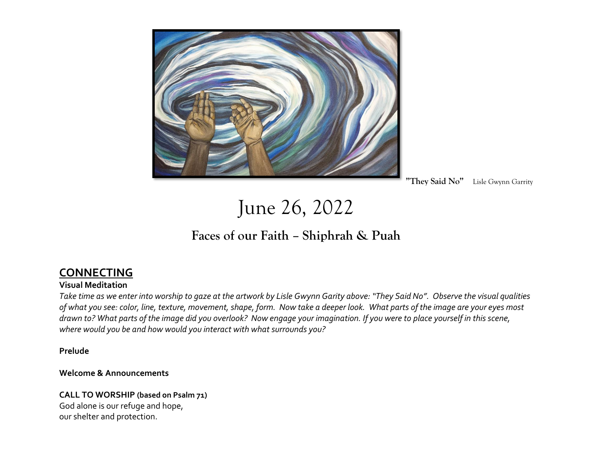

 **"They Said No"** Lisle Gwynn Garrity

June 26, 2022

## **Faces of our Faith – Shiphrah & Puah**

### **CONNECTING**

#### **Visual Meditation**

*Take time as we enter into worship to gaze at the artwork by Lisle Gwynn Garity above: "They Said No". Observe the visual qualities of what you see: color, line, texture, movement, shape, form. Now take a deeper look. What parts of the image are your eyes most drawn to? What parts of the image did you overlook? Now engage your imagination. If you were to place yourself in this scene, where would you be and how would you interact with what surrounds you?*

**Prelude**

#### **Welcome & Announcements**

## **CALL TO WORSHIP (based on Psalm 71)**

God alone is our refuge and hope, our shelter and protection.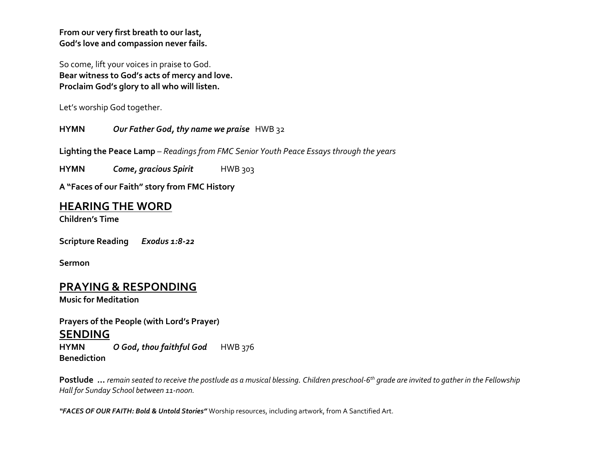**From our very first breath to our last, God's love and compassion never fails.**

So come, lift your voices in praise to God. **Bear witness to God's acts of mercy and love. Proclaim God's glory to all who will listen.**

Let's worship God together.

**HYMN** *Our Father God, thy name we praise*HWB 32

**Lighting the Peace Lamp** – *Readings from FMC Senior Youth Peace Essays through the years*

**HYMN** *Come, gracious Spirit* HWB 303

**A "Faces of our Faith" story from FMC History**

#### **HEARING THE WORD**

**Children's Time**

**Scripture Reading** *Exodus 1:8-22*

**Sermon** 

#### **PRAYING & RESPONDING**

**Music for Meditation**

**Prayers of the People (with Lord's Prayer)**

#### **SENDING**

**HYMN** *O God, thou faithful God* HWB 376 **Benediction** 

**Postlude …** *remain seated to receive the postlude as a musical blessing. Children preschool-6 th grade are invited to gather in the Fellowship Hall for Sunday School between 11-noon.*

*"FACES OF OUR FAITH: Bold & Untold Stories"* Worship resources, including artwork, from A Sanctified Art.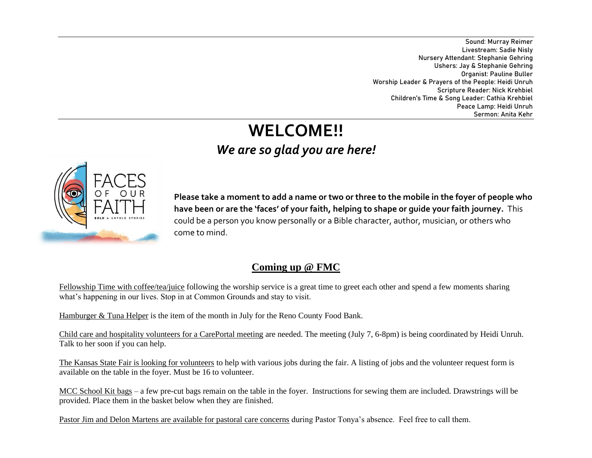Sound: Murray Reimer Livestream: Sadie Nisly Nursery Attendant: Stephanie Gehring Ushers: Jay & Stephanie Gehring Organist: Pauline Buller Worship Leader & Prayers of the People: Heidi Unruh Scripture Reader: Nick Krehbiel Children's Time & Song Leader: Cathia Krehbiel Peace Lamp: Heidi Unruh Sermon: Anita Kehr

# **WELCOME!!** *We are so glad you are here!*



**Please take a moment to add a name or two or three to the mobile in the foyer of people who have been or are the 'faces' of your faith, helping to shape or guide your faith journey.** This could be a person you know personally or a Bible character, author, musician, or others who come to mind.

### **Coming up @ FMC**

Fellowship Time with coffee/tea/juice following the worship service is a great time to greet each other and spend a few moments sharing what's happening in our lives. Stop in at Common Grounds and stay to visit.

Hamburger & Tuna Helper is the item of the month in July for the Reno County Food Bank.

Child care and hospitality volunteers for a CarePortal meeting are needed. The meeting (July 7, 6-8pm) is being coordinated by Heidi Unruh. Talk to her soon if you can help.

The Kansas State Fair is looking for volunteers to help with various jobs during the fair. A listing of jobs and the volunteer request form is available on the table in the foyer. Must be 16 to volunteer.

MCC School Kit bags – a few pre-cut bags remain on the table in the foyer. Instructions for sewing them are included. Drawstrings will be provided. Place them in the basket below when they are finished.

Pastor Jim and Delon Martens are available for pastoral care concerns during Pastor Tonya's absence. Feel free to call them.